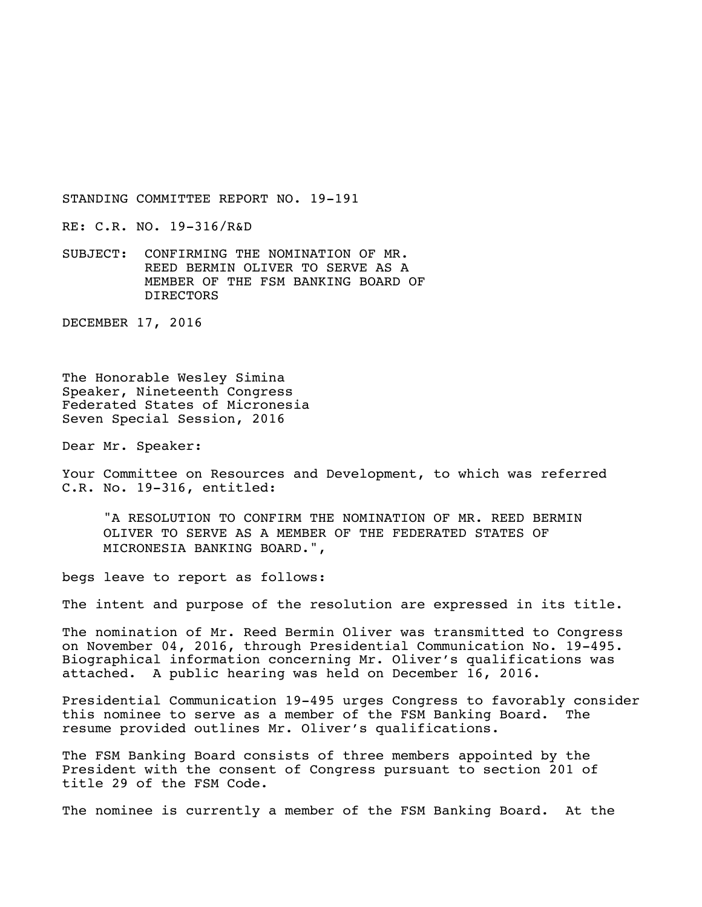STANDING COMMITTEE REPORT NO. 19-191

RE: C.R. NO. 19-316/R&D

SUBJECT: CONFIRMING THE NOMINATION OF MR. REED BERMIN OLIVER TO SERVE AS A MEMBER OF THE FSM BANKING BOARD OF DIRECTORS

DECEMBER 17, 2016

The Honorable Wesley Simina Speaker, Nineteenth Congress Federated States of Micronesia Seven Special Session, 2016

Dear Mr. Speaker:

Your Committee on Resources and Development, to which was referred C.R. No. 19-316, entitled:

"A RESOLUTION TO CONFIRM THE NOMINATION OF MR. REED BERMIN OLIVER TO SERVE AS A MEMBER OF THE FEDERATED STATES OF MICRONESIA BANKING BOARD.",

begs leave to report as follows:

The intent and purpose of the resolution are expressed in its title.

The nomination of Mr. Reed Bermin Oliver was transmitted to Congress on November 04, 2016, through Presidential Communication No. 19-495. Biographical information concerning Mr. Oliver's qualifications was attached. A public hearing was held on December 16, 2016.

Presidential Communication 19-495 urges Congress to favorably consider this nominee to serve as a member of the FSM Banking Board. The resume provided outlines Mr. Oliver's qualifications.

The FSM Banking Board consists of three members appointed by the President with the consent of Congress pursuant to section 201 of title 29 of the FSM Code.

The nominee is currently a member of the FSM Banking Board. At the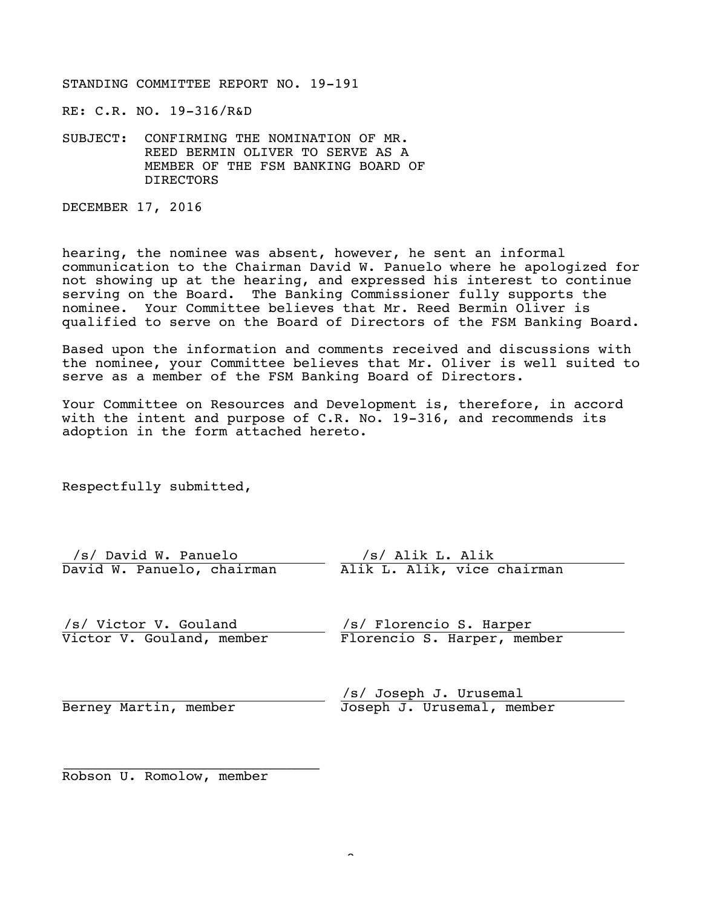STANDING COMMITTEE REPORT NO. 19-191

RE: C.R. NO. 19-316/R&D

SUBJECT: CONFIRMING THE NOMINATION OF MR. REED BERMIN OLIVER TO SERVE AS A MEMBER OF THE FSM BANKING BOARD OF DIRECTORS

DECEMBER 17, 2016

hearing, the nominee was absent, however, he sent an informal communication to the Chairman David W. Panuelo where he apologized for not showing up at the hearing, and expressed his interest to continue serving on the Board. The Banking Commissioner fully supports the nominee. Your Committee believes that Mr. Reed Bermin Oliver is qualified to serve on the Board of Directors of the FSM Banking Board.

Based upon the information and comments received and discussions with the nominee, your Committee believes that Mr. Oliver is well suited to serve as a member of the FSM Banking Board of Directors.

Your Committee on Resources and Development is, therefore, in accord with the intent and purpose of C.R. No. 19-316, and recommends its adoption in the form attached hereto.

Respectfully submitted,

| /s/ David W. Panuelo       | /s/ Alik L. Alik            |
|----------------------------|-----------------------------|
| David W. Panuelo, chairman | Alik L. Alik, vice chairman |

/s/ /s/ Victor V. Gouland Victor V. Gouland, member /s/ /s/ Florencio S. Harper Florencio S. Harper, member

Berney Martin, member

/s/ /s/ Joseph J. Urusemal Joseph J. Urusemal, member

/s/ \_\_\_\_\_\_\_\_\_\_\_\_\_\_\_\_\_\_\_\_\_\_\_\_\_\_\_\_\_\_\_ Robson U. Romolow, member